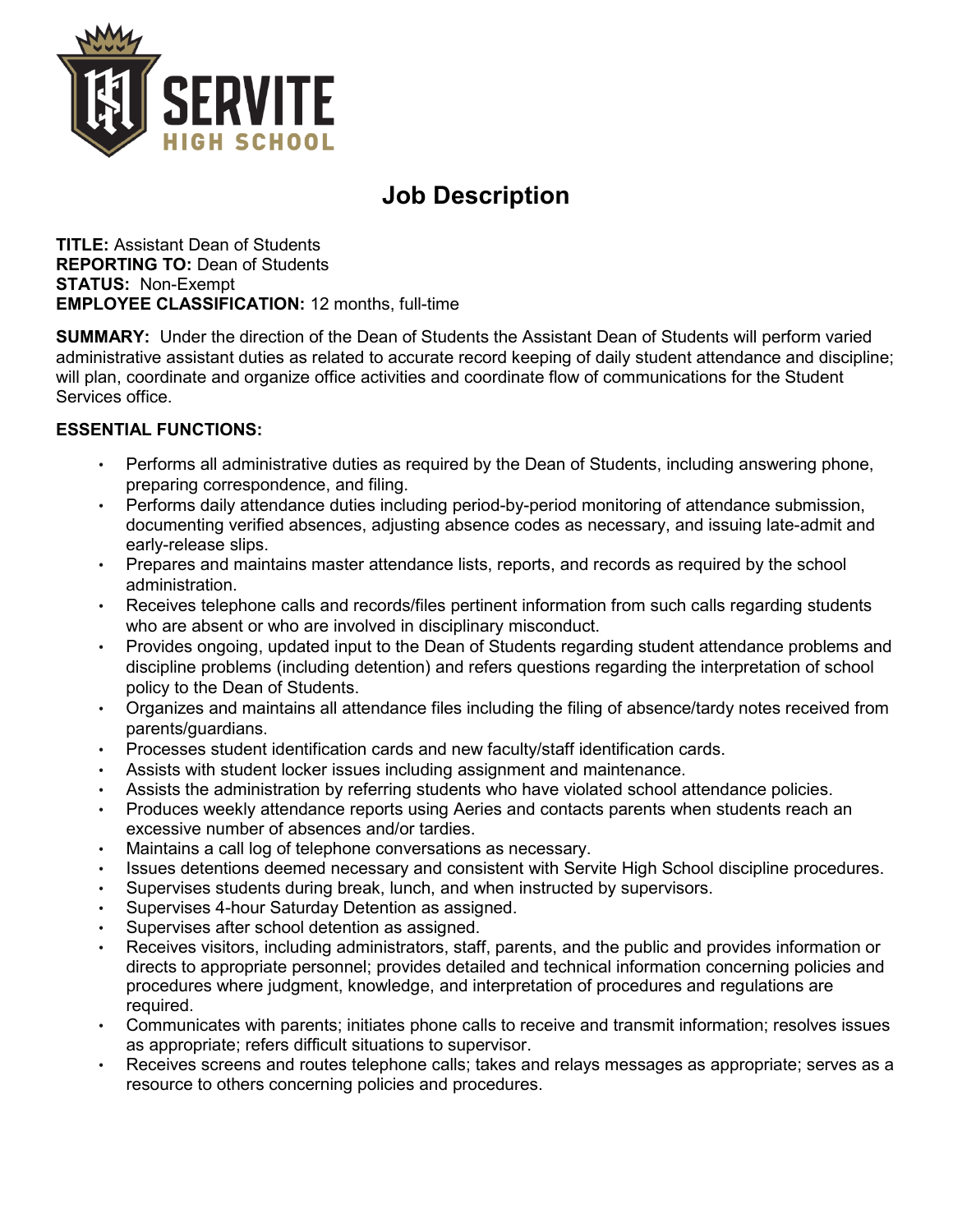

# **Job Description**

**TITLE:** Assistant Dean of Students **REPORTING TO:** Dean of Students **STATUS:** Non-Exempt **EMPLOYEE CLASSIFICATION:** 12 months, full-time

**SUMMARY:** Under the direction of the Dean of Students the Assistant Dean of Students will perform varied administrative assistant duties as related to accurate record keeping of daily student attendance and discipline; will plan, coordinate and organize office activities and coordinate flow of communications for the Student Services office.

## **ESSENTIAL FUNCTIONS:**

- Performs all administrative duties as required by the Dean of Students, including answering phone, preparing correspondence, and filing.
- Performs daily attendance duties including period-by-period monitoring of attendance submission, documenting verified absences, adjusting absence codes as necessary, and issuing late-admit and early-release slips.
- Prepares and maintains master attendance lists, reports, and records as required by the school administration.
- Receives telephone calls and records/files pertinent information from such calls regarding students who are absent or who are involved in disciplinary misconduct.
- Provides ongoing, updated input to the Dean of Students regarding student attendance problems and discipline problems (including detention) and refers questions regarding the interpretation of school policy to the Dean of Students.
- Organizes and maintains all attendance files including the filing of absence/tardy notes received from parents/guardians.
- Processes student identification cards and new faculty/staff identification cards.
- Assists with student locker issues including assignment and maintenance.
- Assists the administration by referring students who have violated school attendance policies.
- Produces weekly attendance reports using Aeries and contacts parents when students reach an excessive number of absences and/or tardies.
- Maintains a call log of telephone conversations as necessary.
- Issues detentions deemed necessary and consistent with Servite High School discipline procedures.
- Supervises students during break, lunch, and when instructed by supervisors.
- Supervises 4-hour Saturday Detention as assigned.
- Supervises after school detention as assigned.
- Receives visitors, including administrators, staff, parents, and the public and provides information or directs to appropriate personnel; provides detailed and technical information concerning policies and procedures where judgment, knowledge, and interpretation of procedures and regulations are required.
- Communicates with parents; initiates phone calls to receive and transmit information; resolves issues as appropriate; refers difficult situations to supervisor.
- Receives screens and routes telephone calls; takes and relays messages as appropriate; serves as a resource to others concerning policies and procedures.